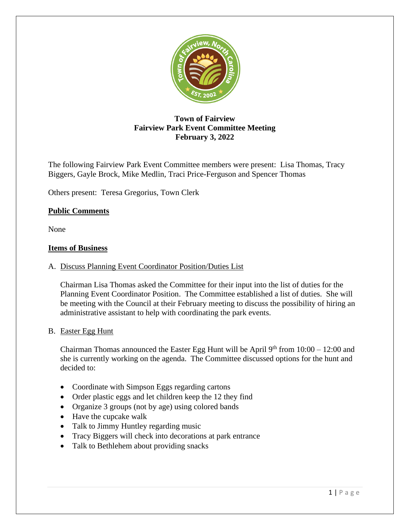

## **Town of Fairview Fairview Park Event Committee Meeting February 3, 2022**

The following Fairview Park Event Committee members were present: Lisa Thomas, Tracy Biggers, Gayle Brock, Mike Medlin, Traci Price-Ferguson and Spencer Thomas

Others present: Teresa Gregorius, Town Clerk

## **Public Comments**

None

## **Items of Business**

### A. Discuss Planning Event Coordinator Position/Duties List

Chairman Lisa Thomas asked the Committee for their input into the list of duties for the Planning Event Coordinator Position. The Committee established a list of duties. She will be meeting with the Council at their February meeting to discuss the possibility of hiring an administrative assistant to help with coordinating the park events.

#### B. Easter Egg Hunt

Chairman Thomas announced the Easter Egg Hunt will be April  $9<sup>th</sup>$  from  $10:00 - 12:00$  and she is currently working on the agenda. The Committee discussed options for the hunt and decided to:

- Coordinate with Simpson Eggs regarding cartons
- Order plastic eggs and let children keep the 12 they find
- Organize 3 groups (not by age) using colored bands
- Have the cupcake walk
- Talk to Jimmy Huntley regarding music
- Tracy Biggers will check into decorations at park entrance
- Talk to Bethlehem about providing snacks